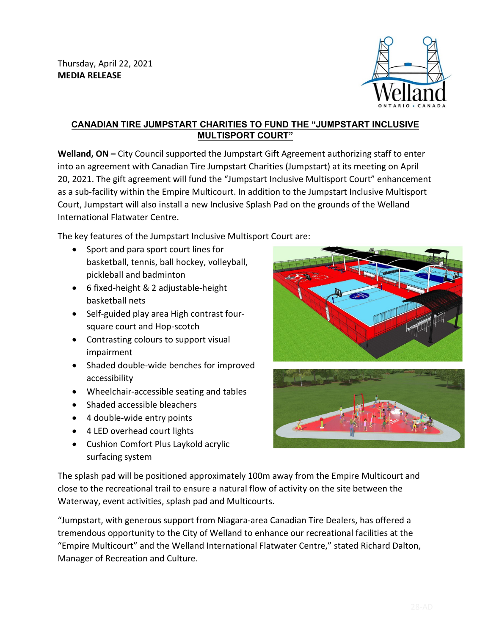

## **CANADIAN TIRE JUMPSTART CHARITIES TO FUND THE "JUMPSTART INCLUSIVE MULTISPORT COURT"**

**Welland, ON –** City Council supported the Jumpstart Gift Agreement authorizing staff to enter into an agreement with Canadian Tire Jumpstart Charities (Jumpstart) at its meeting on April 20, 2021. The gift agreement will fund the "Jumpstart Inclusive Multisport Court" enhancement as a sub-facility within the Empire Multicourt. In addition to the Jumpstart Inclusive Multisport Court, Jumpstart will also install a new Inclusive Splash Pad on the grounds of the Welland International Flatwater Centre.

The key features of the Jumpstart Inclusive Multisport Court are:

- Sport and para sport court lines for basketball, tennis, ball hockey, volleyball, pickleball and badminton
- 6 fixed-height & 2 adjustable-height basketball nets
- Self-guided play area High contrast foursquare court and Hop-scotch
- Contrasting colours to support visual impairment
- Shaded double-wide benches for improved accessibility
- Wheelchair-accessible seating and tables
- Shaded accessible bleachers
- 4 double-wide entry points
- 4 LED overhead court lights
- Cushion Comfort Plus Laykold acrylic surfacing system





The splash pad will be positioned approximately 100m away from the Empire Multicourt and close to the recreational trail to ensure a natural flow of activity on the site between the Waterway, event activities, splash pad and Multicourts.

"Jumpstart, with generous support from Niagara-area Canadian Tire Dealers, has offered a tremendous opportunity to the City of Welland to enhance our recreational facilities at the "Empire Multicourt" and the Welland International Flatwater Centre," stated Richard Dalton, Manager of Recreation and Culture.